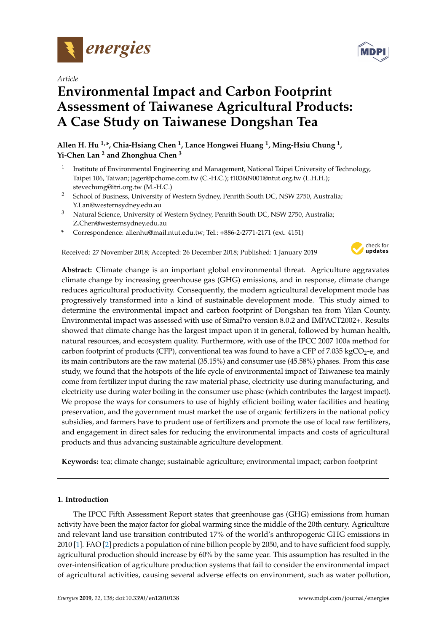

*Article*

# **Environmental Impact and Carbon Footprint Assessment of Taiwanese Agricultural Products: A Case Study on Taiwanese Dongshan Tea**

**Allen H. Hu 1,\*, Chia-Hsiang Chen <sup>1</sup> , Lance Hongwei Huang <sup>1</sup> , Ming-Hsiu Chung <sup>1</sup> , Yi-Chen Lan <sup>2</sup> and Zhonghua Chen <sup>3</sup>**

- 1 Institute of Environmental Engineering and Management, National Taipei University of Technology, Taipei 106, Taiwan; jager@pchome.com.tw (C.-H.C.); t103609001@ntut.org.tw (L.H.H.); stevechung@itri.org.tw (M.-H.C.)
- <sup>2</sup> School of Business, University of Western Sydney, Penrith South DC, NSW 2750, Australia; Y.Lan@westernsydney.edu.au
- <sup>3</sup> Natural Science, University of Western Sydney, Penrith South DC, NSW 2750, Australia; Z.Chen@westernsydney.edu.au
- **\*** Correspondence: allenhu@mail.ntut.edu.tw; Tel.: +886-2-2771-2171 (ext. 4151)

Received: 27 November 2018; Accepted: 26 December 2018; Published: 1 January 2019



**Abstract:** Climate change is an important global environmental threat. Agriculture aggravates climate change by increasing greenhouse gas (GHG) emissions, and in response, climate change reduces agricultural productivity. Consequently, the modern agricultural development mode has progressively transformed into a kind of sustainable development mode. This study aimed to determine the environmental impact and carbon footprint of Dongshan tea from Yilan County. Environmental impact was assessed with use of SimaPro version 8.0.2 and IMPACT2002+. Results showed that climate change has the largest impact upon it in general, followed by human health, natural resources, and ecosystem quality. Furthermore, with use of the IPCC 2007 100a method for carbon footprint of products (CFP), conventional tea was found to have a CFP of 7.035 kgCO<sub>2</sub>-e, and its main contributors are the raw material (35.15%) and consumer use (45.58%) phases. From this case study, we found that the hotspots of the life cycle of environmental impact of Taiwanese tea mainly come from fertilizer input during the raw material phase, electricity use during manufacturing, and electricity use during water boiling in the consumer use phase (which contributes the largest impact). We propose the ways for consumers to use of highly efficient boiling water facilities and heating preservation, and the government must market the use of organic fertilizers in the national policy subsidies, and farmers have to prudent use of fertilizers and promote the use of local raw fertilizers, and engagement in direct sales for reducing the environmental impacts and costs of agricultural products and thus advancing sustainable agriculture development.

**Keywords:** tea; climate change; sustainable agriculture; environmental impact; carbon footprint

## **1. Introduction**

The IPCC Fifth Assessment Report states that greenhouse gas (GHG) emissions from human activity have been the major factor for global warming since the middle of the 20th century. Agriculture and relevant land use transition contributed 17% of the world's anthropogenic GHG emissions in 2010 [\[1\]](#page-9-0). FAO [\[2\]](#page-9-1) predicts a population of nine billion people by 2050, and to have sufficient food supply, agricultural production should increase by 60% by the same year. This assumption has resulted in the over-intensification of agriculture production systems that fail to consider the environmental impact of agricultural activities, causing several adverse effects on environment, such as water pollution,

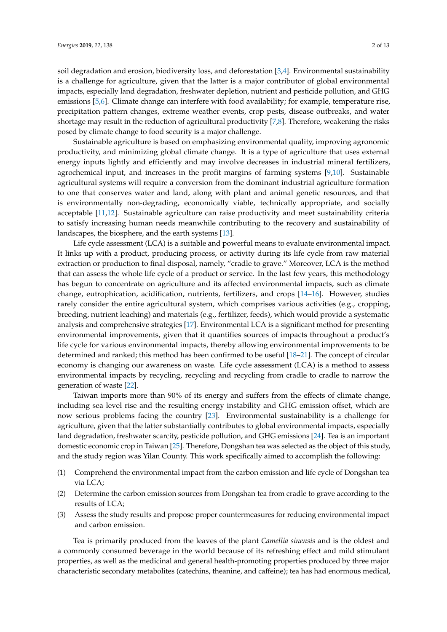soil degradation and erosion, biodiversity loss, and deforestation [\[3](#page-9-2)[,4\]](#page-9-3). Environmental sustainability is a challenge for agriculture, given that the latter is a major contributor of global environmental impacts, especially land degradation, freshwater depletion, nutrient and pesticide pollution, and GHG emissions [\[5](#page-9-4)[,6\]](#page-9-5). Climate change can interfere with food availability; for example, temperature rise, precipitation pattern changes, extreme weather events, crop pests, disease outbreaks, and water shortage may result in the reduction of agricultural productivity [\[7](#page-9-6)[,8\]](#page-10-0). Therefore, weakening the risks posed by climate change to food security is a major challenge.

Sustainable agriculture is based on emphasizing environmental quality, improving agronomic productivity, and minimizing global climate change. It is a type of agriculture that uses external energy inputs lightly and efficiently and may involve decreases in industrial mineral fertilizers, agrochemical input, and increases in the profit margins of farming systems [\[9](#page-10-1)[,10\]](#page-10-2). Sustainable agricultural systems will require a conversion from the dominant industrial agriculture formation to one that conserves water and land, along with plant and animal genetic resources, and that is environmentally non-degrading, economically viable, technically appropriate, and socially acceptable [\[11](#page-10-3)[,12\]](#page-10-4). Sustainable agriculture can raise productivity and meet sustainability criteria to satisfy increasing human needs meanwhile contributing to the recovery and sustainability of landscapes, the biosphere, and the earth systems [\[13\]](#page-10-5).

Life cycle assessment (LCA) is a suitable and powerful means to evaluate environmental impact. It links up with a product, producing process, or activity during its life cycle from raw material extraction or production to final disposal, namely, "cradle to grave." Moreover, LCA is the method that can assess the whole life cycle of a product or service. In the last few years, this methodology has begun to concentrate on agriculture and its affected environmental impacts, such as climate change, eutrophication, acidification, nutrients, fertilizers, and crops [\[14](#page-10-6)[–16\]](#page-10-7). However, studies rarely consider the entire agricultural system, which comprises various activities (e.g., cropping, breeding, nutrient leaching) and materials (e.g., fertilizer, feeds), which would provide a systematic analysis and comprehensive strategies [\[17\]](#page-10-8). Environmental LCA is a significant method for presenting environmental improvements, given that it quantifies sources of impacts throughout a product's life cycle for various environmental impacts, thereby allowing environmental improvements to be determined and ranked; this method has been confirmed to be useful [\[18](#page-10-9)[–21\]](#page-10-10). The concept of circular economy is changing our awareness on waste. Life cycle assessment (LCA) is a method to assess environmental impacts by recycling, recycling and recycling from cradle to cradle to narrow the generation of waste [\[22\]](#page-10-11).

Taiwan imports more than 90% of its energy and suffers from the effects of climate change, including sea level rise and the resulting energy instability and GHG emission offset, which are now serious problems facing the country [\[23\]](#page-10-12). Environmental sustainability is a challenge for agriculture, given that the latter substantially contributes to global environmental impacts, especially land degradation, freshwater scarcity, pesticide pollution, and GHG emissions [\[24\]](#page-10-13). Tea is an important domestic economic crop in Taiwan [\[25\]](#page-10-14). Therefore, Dongshan tea was selected as the object of this study, and the study region was Yilan County. This work specifically aimed to accomplish the following:

- (1) Comprehend the environmental impact from the carbon emission and life cycle of Dongshan tea via LCA;
- (2) Determine the carbon emission sources from Dongshan tea from cradle to grave according to the results of LCA;
- (3) Assess the study results and propose proper countermeasures for reducing environmental impact and carbon emission.

Tea is primarily produced from the leaves of the plant *Camellia sinensis* and is the oldest and a commonly consumed beverage in the world because of its refreshing effect and mild stimulant properties, as well as the medicinal and general health-promoting properties produced by three major characteristic secondary metabolites (catechins, theanine, and caffeine); tea has had enormous medical,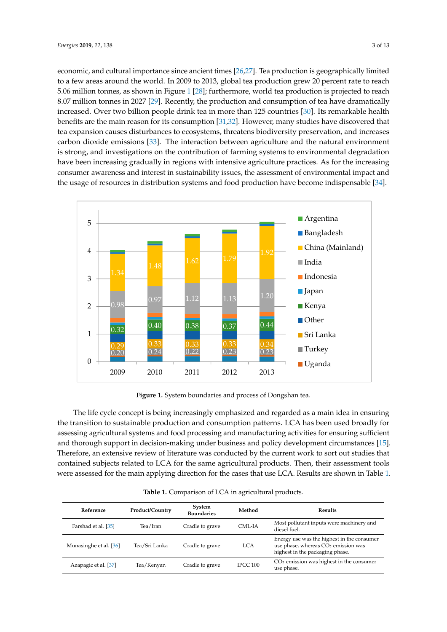economic, and cultural importance since ancient times [\[26,](#page-10-15)[27\]](#page-10-16). Tea production is geographically limited to a few areas around the world. In 2009 to 2013, global tea production grew 20 percent rate to reach 5.06 million tonnes, as shown in Figure 1 [\[28\]](#page-10-17); furthermore, world tea production is projected to reach 8.07 million tonnes in 2027 [\[29\]](#page-11-0). Recently, the production and consumption of tea have dramatically increased. Over two billion people drink tea in more than 125 countries [\[30\]](#page-11-1). Its remarkable health benefits are the main reason for its consumption [\[31](#page-11-2)[,32\]](#page-11-3). However, many studies have discovered that tea expansion causes disturbances to ecosystems, threatens biodiversity preservation, and increases carbon dioxide emissions [\[33\]](#page-11-4). The interaction between agriculture and the natural environment is strong, and investigations on the contribution of farming systems to environmental degradation have been increasing gradually in regions with intensive agriculture practices. As for the increasing consumer awareness and interest in sustainability issues, the assessment of environmental impact and the usage of resources in distribution systems and food production have become indispensable [\[34\]](#page-11-5).

<span id="page-2-0"></span>

**Figure 1.** System boundaries and process of Dongshan tea. **Figure 1.** System boundaries and process of Dongshan tea.

The life cycle concept is being increasingly emphasized and regarded as a main idea in ensuring The life cycle concept is being increasingly emphasized and regarded as a main idea in ensuring the transition to sustainable production and consumption patterns. LCA has been used broadly for the transition to sustainable production and consumption patterns. LCA has been used broadly for assessing agricultural systems and food processing and manufacturing activities for ensuring assessing agricultural systems and food processing and manufacturing activities for ensuring sufficient and thorough support in decision-making under business and policy development circumstances [\[15\]](#page-10-18). Therefore, an extensive review of literature was conducted by the current work to sort out studies that contained subjects related to LCA for the same agricultural products. Then, their assessment tools were assessed for the main applying direction for the cases that use L[CA](#page-3-0). Results are shown in Table 1.

| Reference              | <b>Product/Country</b> | System<br><b>Boundaries</b> | Method          | <b>Results</b>                                                                                                         |
|------------------------|------------------------|-----------------------------|-----------------|------------------------------------------------------------------------------------------------------------------------|
| Farshad et al. [35]    | Tea/Iran               | Cradle to grave             | CML-IA          | Most pollutant inputs were machinery and<br>diesel fuel.                                                               |
| Munasinghe et al. [36] | Tea/Sri Lanka          | Cradle to grave             | <b>LCA</b>      | Energy use was the highest in the consumer<br>use phase, whereas $CO2$ emission was<br>highest in the packaging phase. |
| Azapagic et al. [37]   | Tea/Kenyan             | Cradle to grave             | <b>IPCC 100</b> | $CO2$ emission was highest in the consumer<br>use phase.                                                               |

**Table 1.** Comparison of LCA in agricultural products.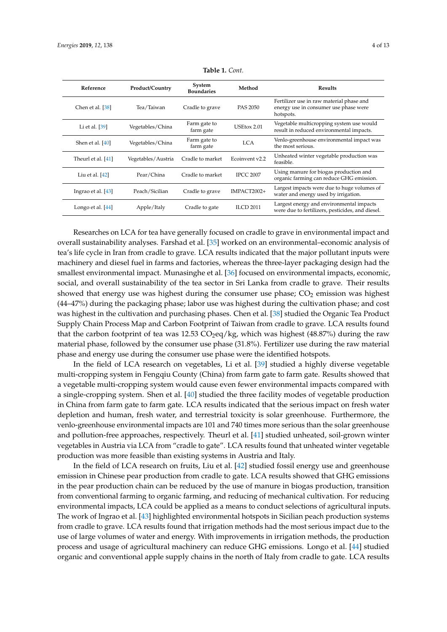<span id="page-3-0"></span>

| Reference           | Product/Country    | System                               | Method           | <b>Results</b>                                                                                    |
|---------------------|--------------------|--------------------------------------|------------------|---------------------------------------------------------------------------------------------------|
| Chen et al. [38]    | Tea/Taiwan         | <b>Boundaries</b><br>Cradle to grave | PAS 2050         | Fertilizer use in raw material phase and<br>energy use in consumer use phase were                 |
| Li et al. $[39]$    | Vegetables/China   | Farm gate to<br>farm gate            | USEtox 2.01      | hotspots.<br>Vegetable multicropping system use would<br>result in reduced environmental impacts. |
| Shen et al. [40]    | Vegetables/China   | Farm gate to<br>farm gate            | LCA              | Venlo-greenhouse environmental impact was<br>the most serious.                                    |
| Theurl et al. [41]  | Vegetables/Austria | Cradle to market                     | Ecoinvent v2.2   | Unheated winter vegetable production was<br>feasible.                                             |
| Liu et al. $[42]$   | Pear/China         | Cradle to market                     | <b>IPCC 2007</b> | Using manure for biogas production and<br>organic farming can reduce GHG emission.                |
| Ingrao et al. [43]  | Peach/Sicilian     | Cradle to grave                      | IMPACT2002+      | Largest impacts were due to huge volumes of<br>water and energy used by irrigation.               |
| Longo et al. $[44]$ | Apple/Italy        | Cradle to gate                       | <b>ILCD 2011</b> | Largest energy and environmental impacts<br>were due to fertilizers, pesticides, and diesel.      |

**Table 1.** *Cont.*

Researches on LCA for tea have generally focused on cradle to grave in environmental impact and overall sustainability analyses. Farshad et al. [\[35\]](#page-11-6) worked on an environmental–economic analysis of tea's life cycle in Iran from cradle to grave. LCA results indicated that the major pollutant inputs were machinery and diesel fuel in farms and factories, whereas the three-layer packaging design had the smallest environmental impact. Munasinghe et al. [\[36\]](#page-11-7) focused on environmental impacts, economic, social, and overall sustainability of the tea sector in Sri Lanka from cradle to grave. Their results showed that energy use was highest during the consumer use phase;  $CO<sub>2</sub>$  emission was highest (44–47%) during the packaging phase; labor use was highest during the cultivation phase; and cost was highest in the cultivation and purchasing phases. Chen et al. [\[38\]](#page-11-9) studied the Organic Tea Product Supply Chain Process Map and Carbon Footprint of Taiwan from cradle to grave. LCA results found that the carbon footprint of tea was 12.53  $CO_2$ eq/kg, which was highest (48.87%) during the raw material phase, followed by the consumer use phase (31.8%). Fertilizer use during the raw material phase and energy use during the consumer use phase were the identified hotspots.

In the field of LCA research on vegetables, Li et al. [\[39\]](#page-11-10) studied a highly diverse vegetable multi-cropping system in Fengqiu County (China) from farm gate to farm gate. Results showed that a vegetable multi-cropping system would cause even fewer environmental impacts compared with a single-cropping system. Shen et al. [\[40\]](#page-11-11) studied the three facility modes of vegetable production in China from farm gate to farm gate. LCA results indicated that the serious impact on fresh water depletion and human, fresh water, and terrestrial toxicity is solar greenhouse. Furthermore, the venlo-greenhouse environmental impacts are 101 and 740 times more serious than the solar greenhouse and pollution-free approaches, respectively. Theurl et al. [\[41\]](#page-11-12) studied unheated, soil-grown winter vegetables in Austria via LCA from "cradle to gate". LCA results found that unheated winter vegetable production was more feasible than existing systems in Austria and Italy.

In the field of LCA research on fruits, Liu et al. [\[42\]](#page-11-13) studied fossil energy use and greenhouse emission in Chinese pear production from cradle to gate. LCA results showed that GHG emissions in the pear production chain can be reduced by the use of manure in biogas production, transition from conventional farming to organic farming, and reducing of mechanical cultivation. For reducing environmental impacts, LCA could be applied as a means to conduct selections of agricultural inputs. The work of Ingrao et al. [\[43\]](#page-11-14) highlighted environmental hotspots in Sicilian peach production systems from cradle to grave. LCA results found that irrigation methods had the most serious impact due to the use of large volumes of water and energy. With improvements in irrigation methods, the production process and usage of agricultural machinery can reduce GHG emissions. Longo et al. [\[44\]](#page-11-15) studied organic and conventional apple supply chains in the north of Italy from cradle to gate. LCA results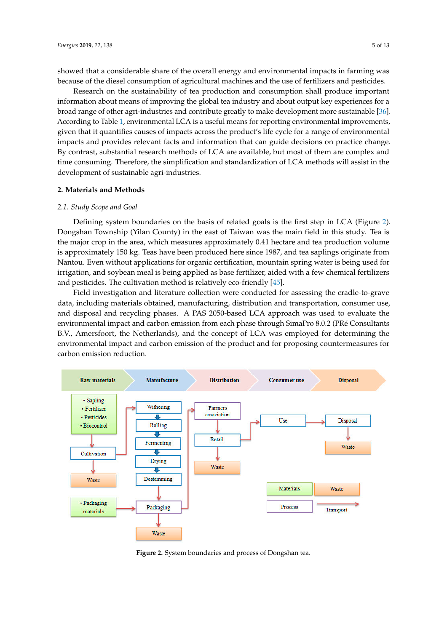showed that a considerable share of the overall energy and environmental impacts in farming was because of the diesel consumption of agricultural machines and the use of fertilizers and pesticides.

Research on the sustainability of tea production and consumption shall produce important information about means of improving the global tea industry and about output key experiences for a **broad range of other agri-industries and contribute greatly to make development more sustainable [\[36\]](#page-11-7).** According to Table [1,](#page-3-0) environmental LCA is a useful means for reporting environmental improvements, given that it quantifies causes of impacts across the product's life cycle for a range of environmental impacts and provides relevant facts and information that can guide decisions on practice change. By contrast, substantial research methods of LCA are available, but most of them are complex and time consuming. Therefore, the simplification and standardization of LCA methods will assist in the development of sustainable agri-industries.

## **2. Materials and Methods 2. Materials and Methods**

# *2.1. Study Scope and Goal 2.1. Study Scope and Goal*

Defining system boundaries on the basis of related goals is the first step in LCA (Figure [2\)](#page-4-0). Defining system boundaries on the basis of related goals is the first step in LCA (Figure 2). Dongshan Township (Yilan County) in the east of Taiwan was the main field in this study. Tea is the major crop in the area, which measures approximately 0.41 hectare and tea production volume is approximately 150 kg. Teas have been produced here since 1987, and tea saplings originate from approximately 150 kg. Teas have been produced here since 1987, and tea saplings originate from Nantou. Even without applications for organic certification, mountain spring water is being used for Nantou. Even without applications for organic certification, mountain spring water is being used for irrigation, and soybean meal is being applied as base fertilizer, aided with a few chemical fertilizers irrigation, and soybean meal is being applied as base fertilizer, aided with a few chemical fertilizers and pesticides. The cultivation method is relatively eco-friendly [\[45\]](#page-11-16). and pesticides. The cultivation method is relatively eco-friendly [45].

Field investigation and literature collection were conducted for assessing the cradle-to-grave Field investigation and literature collection were conducted for assessing the cradle-to-grave data, including materials obtained, manufacturing, distribution and transportation, consumer use, data, including materials obtained, manufacturing, distribution and transportation, consumer use, and disposal and recycling phases. A PAS 2050-based LCA approach was used to evaluate the and disposal and recycling phases. A PAS 2050-based LCA approach was used to evaluate the environmental impact and carbon emission from each phase through SimaPro 8.0.2 (PRé Consultants environmental impact and carbon emission from each phase through SimaPro 8.0.2 (PRé Consultants B.V., Amersfoort, the Netherlands), and the concept of LCA was employed for determining the B.V., Amersfoort, the Netherlands), and the concept of LCA was employed for determining the environmental impact and carbon emission of the product and for proposing countermeasures for environmental impact and carbon emission of the product and for proposing countermeasures for carbon emission reduction. carbon emission reduction.

<span id="page-4-0"></span>

**Figure 2.** System boundaries and process of Dongshan tea. **Figure 2.** System boundaries and process of Dongshan tea.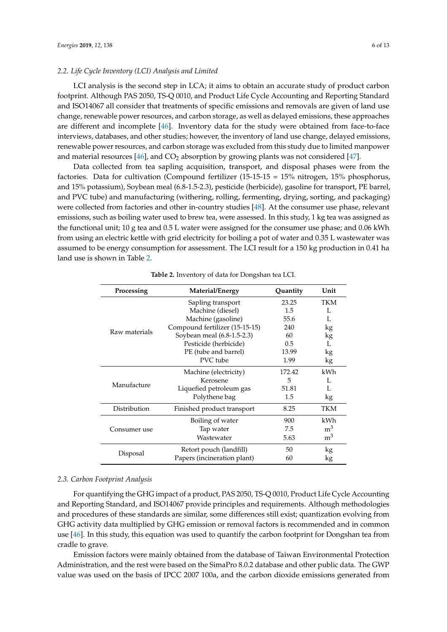#### *2.2. Life Cycle Inventory (LCI) Analysis and Limited*

LCI analysis is the second step in LCA; it aims to obtain an accurate study of product carbon footprint. Although PAS 2050, TS-Q 0010, and Product Life Cycle Accounting and Reporting Standard and ISO14067 all consider that treatments of specific emissions and removals are given of land use change, renewable power resources, and carbon storage, as well as delayed emissions, these approaches are different and incomplete [\[46\]](#page-11-17). Inventory data for the study were obtained from face-to-face interviews, databases, and other studies; however, the inventory of land use change, delayed emissions, renewable power resources, and carbon storage was excluded from this study due to limited manpower and material resources  $[46]$ , and  $CO<sub>2</sub>$  absorption by growing plants was not considered  $[47]$ .

Data collected from tea sapling acquisition, transport, and disposal phases were from the factories. Data for cultivation (Compound fertilizer (15-15-15 = 15% nitrogen, 15% phosphorus, and 15% potassium), Soybean meal (6.8-1.5-2.3), pesticide (herbicide), gasoline for transport, PE barrel, and PVC tube) and manufacturing (withering, rolling, fermenting, drying, sorting, and packaging) were collected from factories and other in-country studies [\[48\]](#page-11-19). At the consumer use phase, relevant emissions, such as boiling water used to brew tea, were assessed. In this study, 1 kg tea was assigned as the functional unit; 10 g tea and 0.5 L water were assigned for the consumer use phase; and 0.06 kWh from using an electric kettle with grid electricity for boiling a pot of water and 0.35 L wastewater was assumed to be energy consumption for assessment. The LCI result for a 150 kg production in 0.41 ha land use is shown in Table [2.](#page-5-0)

<span id="page-5-0"></span>

| Processing    | Material/Energy                | Quantity | Unit           |
|---------------|--------------------------------|----------|----------------|
|               | Sapling transport              | 23.25    | TKM            |
|               | Machine (diesel)               | 1.5      | L              |
|               | Machine (gasoline)             | 55.6     |                |
|               | Compound fertilizer (15-15-15) | 240      | kg             |
| Raw materials | Soybean meal (6.8-1.5-2.3)     | 60       | kg             |
|               | Pesticide (herbicide)          | 0.5      |                |
|               | PE (tube and barrel)           | 13.99    | kg             |
|               | PVC tube                       | 1.99     | kg             |
|               | Machine (electricity)          | 172.42   | kWh            |
|               | Kerosene                       | 5        | L              |
| Manufacture   | Liquefied petroleum gas        | 51.81    |                |
|               | Polythene bag                  | 1.5      | kg             |
| Distribution  | Finished product transport     | 8.25     | TKM            |
| Consumer use  | Boiling of water               | 900      | kWh            |
|               | Tap water                      | 7.5      | m <sup>3</sup> |
|               | Wastewater                     | 5.63     | m <sup>3</sup> |
|               | Retort pouch (landfill)        | 50       | kg             |
| Disposal      | Papers (incineration plant)    | 60       | kg             |

**Table 2.** Inventory of data for Dongshan tea LCI.

#### *2.3. Carbon Footprint Analysis*

For quantifying the GHG impact of a product, PAS 2050, TS-Q 0010, Product Life Cycle Accounting and Reporting Standard, and ISO14067 provide principles and requirements. Although methodologies and procedures of these standards are similar, some differences still exist; quantization evolving from GHG activity data multiplied by GHG emission or removal factors is recommended and in common use [\[46\]](#page-11-17). In this study, this equation was used to quantify the carbon footprint for Dongshan tea from cradle to grave.

Emission factors were mainly obtained from the database of Taiwan Environmental Protection Administration, and the rest were based on the SimaPro 8.0.2 database and other public data. The GWP value was used on the basis of IPCC 2007 100a, and the carbon dioxide emissions generated from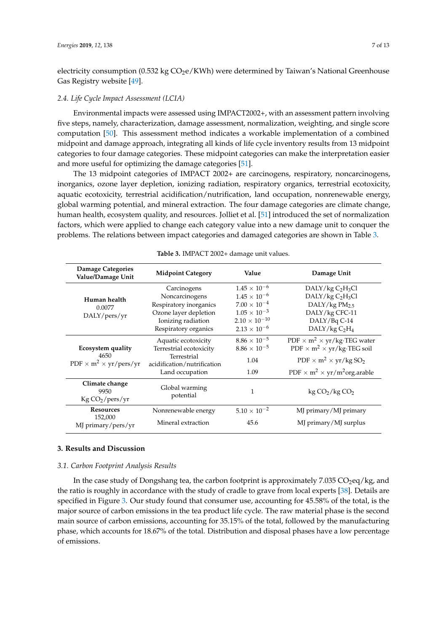electricity consumption (0.532 kg  $CO<sub>2</sub>e/KWh$ ) were determined by Taiwan's National Greenhouse Gas Registry website [\[49\]](#page-11-20).

#### *2.4. Life Cycle Impact Assessment (LCIA)*

Environmental impacts were assessed using IMPACT2002+, with an assessment pattern involving five steps, namely, characterization, damage assessment, normalization, weighting, and single score computation [\[50\]](#page-11-21). This assessment method indicates a workable implementation of a combined midpoint and damage approach, integrating all kinds of life cycle inventory results from 13 midpoint categories to four damage categories. These midpoint categories can make the interpretation easier and more useful for optimizing the damage categories [\[51\]](#page-11-22).

The 13 midpoint categories of IMPACT 2002+ are carcinogens, respiratory, noncarcinogens, inorganics, ozone layer depletion, ionizing radiation, respiratory organics, terrestrial ecotoxicity, aquatic ecotoxicity, terrestrial acidification/nutrification, land occupation, nonrenewable energy, global warming potential, and mineral extraction. The four damage categories are climate change, human health, ecosystem quality, and resources. Jolliet et al. [\[51\]](#page-11-22) introduced the set of normalization factors, which were applied to change each category value into a new damage unit to conquer the problems. The relations between impact categories and damaged categories are shown in Table [3.](#page-6-0)

<span id="page-6-0"></span>

| <b>Damage Categories</b><br>Value/Damage Unit                                        | <b>Midpoint Category</b>                   |                        | Damage Unit                                                       |  |
|--------------------------------------------------------------------------------------|--------------------------------------------|------------------------|-------------------------------------------------------------------|--|
|                                                                                      | Carcinogens                                | $1.45 \times 10^{-6}$  | DALY/kg C <sub>2</sub> H <sub>3</sub> Cl                          |  |
| Human health                                                                         | Noncarcinogens                             | $1.45 \times 10^{-6}$  | DALY/kg C <sub>2</sub> H <sub>3</sub> Cl                          |  |
| 0.0077                                                                               | Respiratory inorganics                     | $7.00 \times 10^{-4}$  | DALY/kg $PM_{2.5}$                                                |  |
| DALY/pers/yr                                                                         | Ozone layer depletion                      | $1.05 \times 10^{-3}$  | DALY/kg CFC-11                                                    |  |
|                                                                                      | Ionizing radiation                         | $2.10 \times 10^{-10}$ | DALY/Bq C-14                                                      |  |
|                                                                                      | Respiratory organics                       | $2.13 \times 10^{-6}$  | DALY/kg C <sub>2</sub> H <sub>4</sub>                             |  |
| Ecosystem quality<br>4650<br>PDF $\times$ m <sup>2</sup> $\times$ yr/pers/yr         | Aquatic ecotoxicity                        | $8.86 \times 10^{-5}$  | PDF $\times$ m <sup>2</sup> $\times$ yr/kg·TEG water              |  |
|                                                                                      | Terrestrial ecotoxicity                    | $8.86 \times 10^{-5}$  | PDF $\times$ m <sup>2</sup> $\times$ yr/kg·TEG soil               |  |
|                                                                                      | Terrestrial<br>acidification/nutrification | 1.04                   | PDF $\times$ m <sup>2</sup> $\times$ yr/kg SO <sub>2</sub>        |  |
|                                                                                      | Land occupation                            | 1.09                   | PDF $\times$ m <sup>2</sup> $\times$ yr/m <sup>2</sup> org.arable |  |
| Climate change<br>Global warming<br>9950<br>potential<br>Kg CO <sub>2</sub> /pers/yr |                                            | 1                      | $\text{kg CO}_2/\text{kg CO}_2$                                   |  |
| <b>Resources</b>                                                                     | Nonrenewable energy                        | $5.10 \times 10^{-2}$  | MJ primary/MJ primary                                             |  |
| 152,000<br>MJ primary/pers/yr                                                        | Mineral extraction                         | 45.6                   | MJ primary/MJ surplus                                             |  |

**Table 3.** IMPACT 2002+ damage unit values.

#### **3. Results and Discussion**

## *3.1. Carbon Footprint Analysis Results*

In the case study of Dongshang tea, the carbon footprint is approximately  $7.035 \text{ CO}_2$ eq/kg, and the ratio is roughly in accordance with the study of cradle to grave from local experts [\[38\]](#page-11-9). Details are specified in Figure [3.](#page-7-0) Our study found that consumer use, accounting for 45.58% of the total, is the major source of carbon emissions in the tea product life cycle. The raw material phase is the second main source of carbon emissions, accounting for 35.15% of the total, followed by the manufacturing phase, which accounts for 18.67% of the total. Distribution and disposal phases have a low percentage of emissions.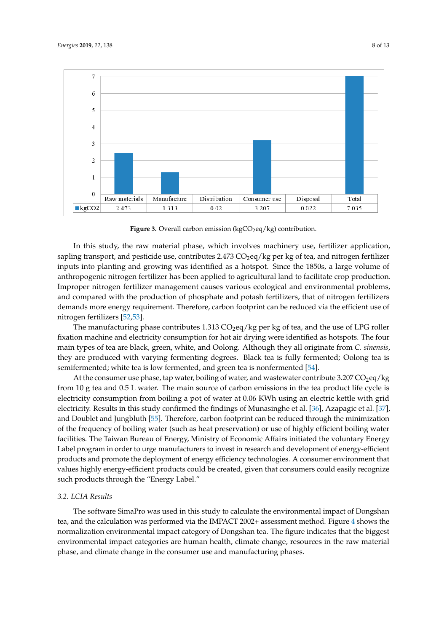<span id="page-7-0"></span>

**Figure 3.** Overall carbon emission (kgCO<sub>2</sub>eq/kg) contribution.

In this study, the raw material phase, which involves machinery use, fertilizer application, In this study, the raw material phase, which involves machinery use, fertilizer application, sapling transport, and pesticide use, contributes 2.473  $\rm CO_2$ eq/kg per kg of tea, and nitrogen fertilizer inputs into planting and growing was identified as a hotspot. Since the 1850s, a large volume of inputs into planting and growing was identified as a hotspot. Since the 1850s, a large volume of anthropogenic nitrogen fertilizer has been applied to agricultural land to facilitate crop production. anthropogenic nitrogen fertilizer has been applied to agricultural land to facilitate crop production.<br>Improper nitrogen fertilizer management causes various ecological and environmental problems, and compared with the production of phosphate and potash fertilizers, that of nitrogen fertilizers and compared with the production of phosphate and potash fertilizers, that of nitrogen fertilizers demands more energy requirement. Therefore, carbon footprint can be reduced via the efficient use demands more energy requirement. Therefore, carbon footprint can be reduced via the efficient use of nitrogen fertilizers [\[52](#page-11-23)[,53\]](#page-12-0).

The manufacturing phase contributes 1.313  $CO_2$ eq/kg per kg of tea, and the use of LPG roller fixation machine and electricity consumption for hot air drying were identified as hotspots. The four fixation machine and electricity consumption for hot air drying were identified as hotspots. The four main types of tea are black, green, white, and Oolong. Although they all originate from *C. sinensis*, main types of tea are black, green, white, and Oolong. Although they all originate from *C. sinensis*, they are produced with varying fermenting degrees. Black tea is fully fermented; Oolong tea is they are produced with varying fermenting degrees. Black tea is fully fermented; Oolong tea is semifermented; white tea is low fermented, and green tea is nonfermented [\[54\]](#page-12-1).

At the consumer use phase, tap water, boiling of water, and wastewater contribute 3.207  $\text{CO}_2$ eq/kg from 10 g tea and 0.5 L water. The main source of carbon emissions in the tea product life cycle is electricity consumption from boiling a pot of water at 0.06 KWh using an electric kettle with grid electricity. Results in this study confirmed the findings of Munasinghe et al. [\[36\]](#page-11-7), Azapagic et al. [\[37\]](#page-11-8), [37], and Doublet and Jungbluth [55]. Therefore, carbon footprint can be reduced through the and Doublet and Jungbluth [\[55\]](#page-12-2). Therefore, carbon footprint can be reduced through the minimization of the frequency of boiling water (such as heat preservation) or use of highly efficient boiling water facilities. The Taiwan Bureau of Energy, Ministry of Economic Affairs initiated the voluntary Energy Label program in order to urge manufacturers to invest in research and development of energy-efficient products and promote the deployment of energy efficiency technologies. A consumer environment that values highly energy-efficient products could be created, given that consumers could easily recognize such products through the "Energy Label."  $\,$ 

# *3.2. LCIA Results 3.2. LCIA Results*

The software SimaPro was used in this study to calculate the environmental impact of Dongshan The software SimaPro was used in this study to calculate the environmental impact of Dongshan tea, and the calculation was performed via the IMPACT 2002+ assessment method. Fig[ur](#page-8-0)e 4 shows tea, and the calculation was performed via the IMPACT 2002+ assessment method. Figure 4 shows the the normalization environmental impact category of Dongshan tea. The figure indicates that the normalization environmental impact category of Dongshan tea. The figure indicates that the biggest biggest environmental impact categories are human health, climate change, resources in the raw environmental impact categories are human health, climate change, resources in the raw material phase, and climate change in the consumer use and manufacturing phases.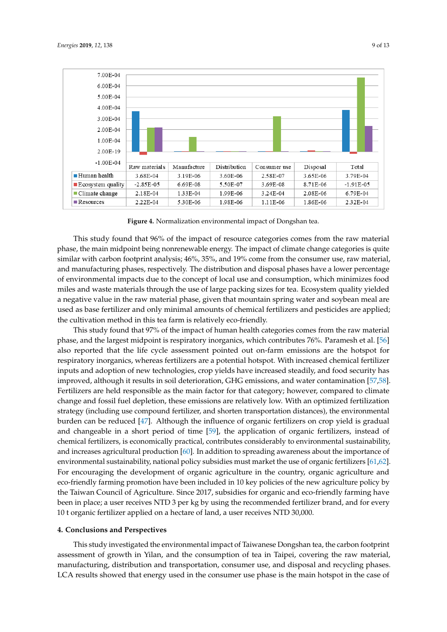<span id="page-8-0"></span>

**Figure 4.** Normalization environmental impact of Dongshan tea. **Figure 4.** Normalization environmental impact of Dongshan tea.

This study found that 96% of the impact of resource categories comes from the raw material This study found that 96% of the impact of resource categories comes from the raw material phase, the main midpoint being nonrenewable energy. The impact of climate change categories is phase, the main midpoint being nonrenewable energy. The impact of climate change categories is quite<br>similar with carbon footprint analysis; 46%, 35%, and 19% come from the consumer use, raw material, and manufacturing phases, respectively. The distribution and disposal phases have a lower percentage and manufacturing phases, respectively. The distribution and disposal phases have a lower percentage<br>of environmental impacts due to the concept of local use and consumption, which minimizes food miles and waste materials through the use of large packing sizes for tea. Ecosystem quality yielded miles and waste materials through the use of large packing sizes for tea. Ecosystem quality yielded<br>a negative value in the raw material phase, given that mountain spring water and soybean meal are used as base fertilizer and only minimal amounts of chemical fertilizers and pesticides are applied; the cultivation method in this tea farm is relatively eco-friendly.

This study found that 97% of the impact of human health categories comes from the raw material phase, and the largest midpoint is respiratory inorganics, which contributes 76%. Paramesh et al. [56] also reported that the life cycle assessment pointed out on-farm emissions are the hotspot for respiratory inorganics, whereas fertilizers are a potential hotspot. With increased chemical fertilizer inputs and adoption of new technologies, crop yields have increased steadily, and food security has improved, although it results in soil deterioration, GHG emissions, and water contamination [57,58]. Fertilizers are held responsible as the main factor for that category; however, compared to climate change and fossil fuel depletion, these emissions are relatively low. With an optimized fertilization strategy (including use compound fertilizer, and shorten transportation distances), the burden can be reduced [47]. Although the influence of organic fertilizers on crop yield is gradual and changeable in a short period of time  $[59]$ , the application of organic fertilizers, instead of chemical fertilizers, is economically practical, contributes considerably to environmental sustainability, and increases agricultural production  $[60]$ . In addition to spreading awareness about the importance of and increases agricultural production [\[60\]](#page-12-7). In addition to spreading awareness about the importance of<br>environmental sustainability, national policy subsidies must market the use of organic fertilizers [\[61](#page-12-8)[,62\]](#page-12-9). For encouraging the development of organic agriculture in the country, organic agriculture and eco-friendly farming promotion have been included in 10 key policies of the new agriculture policy by the Taiwan Council of Agriculture. Since 2017, subsidies for organic and eco-friendly farming have been in place; a user receives NTD 3 per kg by using the recommended fertilizer brand, and for every 10 t organic fertilizer applied on a hectare of land, a user receives NTD 30,000. This study found that 97% of the impact of human health categories comes from the raw material<br>phase, and the largest midpoint is respiratory inorganics, which contributes 76%. Paramesh et al. [56]<br>also reported that the l Fertilizers are held responsible as the main factor for that category; however, compared to climate<br>change and fossil fuel depletion, these emissions are relatively low. With an optimized fertilization<br>strategy (including For encouraging the development of organic agriculture in the country, organic agriculture and<br>eco-friendly farming promotion have been included in 10 key policies of the new agriculture policy by<br>the Taiwan Council of Agr

#### 30,000. **4. Conclusions and Perspectives**

This study investigated the environmental impact of Taiwanese Dongshan tea, the carbon footprint assessment of growth in Yilan, and the consumption of tea in Taipei, covering the raw material, manufacturing, distribution and transportation, consumer use, and disposal and recycling phases. LCA results showed that energy used in the consumer use phase is the main hotspot in the case of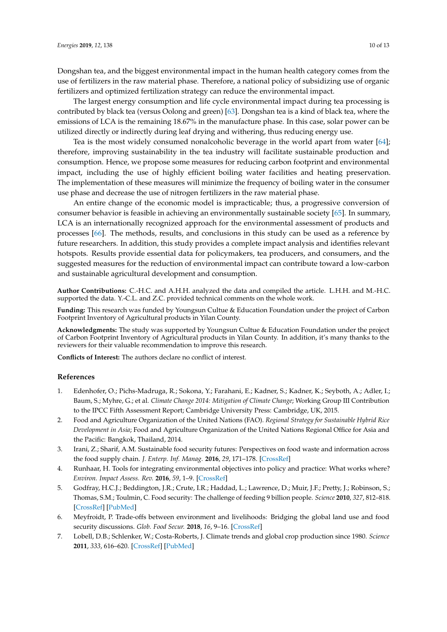The largest energy consumption and life cycle environmental impact during tea processing is contributed by black tea (versus Oolong and green) [\[63\]](#page-12-10). Dongshan tea is a kind of black tea, where the emissions of LCA is the remaining 18.67% in the manufacture phase. In this case, solar power can be utilized directly or indirectly during leaf drying and withering, thus reducing energy use.

Tea is the most widely consumed nonalcoholic beverage in the world apart from water [\[64\]](#page-12-11); therefore, improving sustainability in the tea industry will facilitate sustainable production and consumption. Hence, we propose some measures for reducing carbon footprint and environmental impact, including the use of highly efficient boiling water facilities and heating preservation. The implementation of these measures will minimize the frequency of boiling water in the consumer use phase and decrease the use of nitrogen fertilizers in the raw material phase.

An entire change of the economic model is impracticable; thus, a progressive conversion of consumer behavior is feasible in achieving an environmentally sustainable society [\[65\]](#page-12-12). In summary, LCA is an internationally recognized approach for the environmental assessment of products and processes [\[66\]](#page-12-13). The methods, results, and conclusions in this study can be used as a reference by future researchers. In addition, this study provides a complete impact analysis and identifies relevant hotspots. Results provide essential data for policymakers, tea producers, and consumers, and the suggested measures for the reduction of environmental impact can contribute toward a low-carbon and sustainable agricultural development and consumption.

**Author Contributions:** C.-H.C. and A.H.H. analyzed the data and compiled the article. L.H.H. and M.-H.C. supported the data. Y.-C.L. and Z.C. provided technical comments on the whole work.

**Funding:** This research was funded by Youngsun Cultue & Education Foundation under the project of Carbon Footprint Inventory of Agricultural products in Yilan County.

**Acknowledgments:** The study was supported by Youngsun Cultue & Education Foundation under the project of Carbon Footprint Inventory of Agricultural products in Yilan County. In addition, it's many thanks to the reviewers for their valuable recommendation to improve this research.

**Conflicts of Interest:** The authors declare no conflict of interest.

#### **References**

- <span id="page-9-0"></span>1. Edenhofer, O.; Pichs-Madruga, R.; Sokona, Y.; Farahani, E.; Kadner, S.; Kadner, K.; Seyboth, A.; Adler, I.; Baum, S.; Myhre, G.; et al. *Climate Change 2014: Mitigation of Climate Change*; Working Group III Contribution to the IPCC Fifth Assessment Report; Cambridge University Press: Cambridge, UK, 2015.
- <span id="page-9-1"></span>2. Food and Agriculture Organization of the United Nations (FAO). *Regional Strategy for Sustainable Hybrid Rice Development in Asia*; Food and Agriculture Organization of the United Nations Regional Office for Asia and the Pacific: Bangkok, Thailand, 2014.
- <span id="page-9-2"></span>3. Irani, Z.; Sharif, A.M. Sustainable food security futures: Perspectives on food waste and information across the food supply chain. *J. Enterp. Inf. Manag.* **2016**, *29*, 171–178. [\[CrossRef\]](http://dx.doi.org/10.1108/JEIM-12-2015-0117)
- <span id="page-9-3"></span>4. Runhaar, H. Tools for integrating environmental objectives into policy and practice: What works where? *Environ. Impact Assess. Rev.* **2016**, *59*, 1–9. [\[CrossRef\]](http://dx.doi.org/10.1016/j.eiar.2016.03.003)
- <span id="page-9-4"></span>5. Godfray, H.C.J.; Beddington, J.R.; Crute, I.R.; Haddad, L.; Lawrence, D.; Muir, J.F.; Pretty, J.; Robinson, S.; Thomas, S.M.; Toulmin, C. Food security: The challenge of feeding 9 billion people. *Science* **2010**, *327*, 812–818. [\[CrossRef\]](http://dx.doi.org/10.1126/science.1185383) [\[PubMed\]](http://www.ncbi.nlm.nih.gov/pubmed/20110467)
- <span id="page-9-5"></span>6. Meyfroidt, P. Trade-offs between environment and livelihoods: Bridging the global land use and food security discussions. *Glob. Food Secur.* **2018**, *16*, 9–16. [\[CrossRef\]](http://dx.doi.org/10.1016/j.gfs.2017.08.001)
- <span id="page-9-6"></span>7. Lobell, D.B.; Schlenker, W.; Costa-Roberts, J. Climate trends and global crop production since 1980. *Science* **2011**, *333*, 616–620. [\[CrossRef\]](http://dx.doi.org/10.1126/science.1204531) [\[PubMed\]](http://www.ncbi.nlm.nih.gov/pubmed/21551030)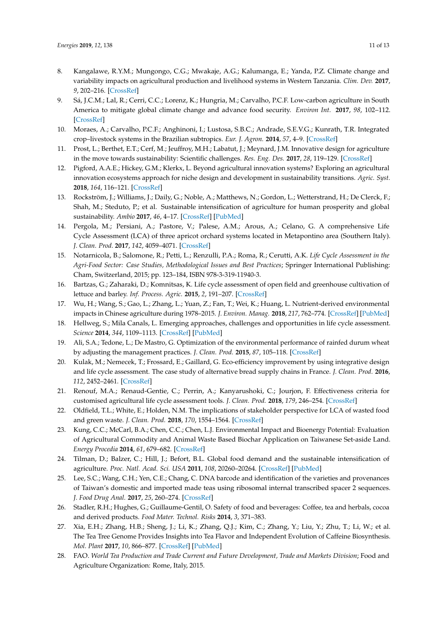- <span id="page-10-0"></span>8. Kangalawe, R.Y.M.; Mungongo, C.G.; Mwakaje, A.G.; Kalumanga, E.; Yanda, P.Z. Climate change and variability impacts on agricultural production and livelihood systems in Western Tanzania. *Clim. Dev.* **2017**, *9*, 202–216. [\[CrossRef\]](http://dx.doi.org/10.1080/17565529.2016.1146119)
- <span id="page-10-1"></span>9. Sá, J.C.M.; Lal, R.; Cerri, C.C.; Lorenz, K.; Hungria, M.; Carvalho, P.C.F. Low-carbon agriculture in South America to mitigate global climate change and advance food security. *Environ Int.* **2017**, *98*, 102–112. [\[CrossRef\]](http://dx.doi.org/10.1016/j.envint.2016.10.020)
- <span id="page-10-2"></span>10. Moraes, A.; Carvalho, P.C.F.; Anghinoni, I.; Lustosa, S.B.C.; Andrade, S.E.V.G.; Kunrath, T.R. Integrated crop–livestock systems in the Brazilian subtropics. *Eur. J. Agron.* **2014**, *57*, 4–9. [\[CrossRef\]](http://dx.doi.org/10.1016/j.eja.2013.10.004)
- <span id="page-10-3"></span>11. Prost, L.; Berthet, E.T.; Cerf, M.; Jeuffroy, M.H.; Labatut, J.; Meynard, J.M. Innovative design for agriculture in the move towards sustainability: Scientific challenges. *Res. Eng. Des.* **2017**, *28*, 119–129. [\[CrossRef\]](http://dx.doi.org/10.1007/s00163-016-0233-4)
- <span id="page-10-4"></span>12. Pigford, A.A.E.; Hickey, G.M.; Klerkx, L. Beyond agricultural innovation systems? Exploring an agricultural innovation ecosystems approach for niche design and development in sustainability transitions. *Agric. Syst.* **2018**, *164*, 116–121. [\[CrossRef\]](http://dx.doi.org/10.1016/j.agsy.2018.04.007)
- <span id="page-10-5"></span>13. Rockström, J.; Williams, J.; Daily, G.; Noble, A.; Matthews, N.; Gordon, L.; Wetterstrand, H.; De Clerck, F.; Shah, M.; Steduto, P.; et al. Sustainable intensification of agriculture for human prosperity and global sustainability. *Ambio* **2017**, *46*, 4–17. [\[CrossRef\]](http://dx.doi.org/10.1007/s13280-016-0793-6) [\[PubMed\]](http://www.ncbi.nlm.nih.gov/pubmed/27405653)
- <span id="page-10-6"></span>14. Pergola, M.; Persiani, A.; Pastore, V.; Palese, A.M.; Arous, A.; Celano, G. A comprehensive Life Cycle Assessment (LCA) of three apricot orchard systems located in Metapontino area (Southern Italy). *J. Clean. Prod.* **2017**, *142*, 4059–4071. [\[CrossRef\]](http://dx.doi.org/10.1016/j.jclepro.2016.10.030)
- <span id="page-10-18"></span>15. Notarnicola, B.; Salomone, R.; Petti, L.; Renzulli, P.A.; Roma, R.; Cerutti, A.K. *Life Cycle Assessment in the Agri-Food Sector: Case Studies, Methodological Issues and Best Practices*; Springer International Publishing: Cham, Switzerland, 2015; pp. 123–184, ISBN 978-3-319-11940-3.
- <span id="page-10-7"></span>16. Bartzas, G.; Zaharaki, D.; Komnitsas, K. Life cycle assessment of open field and greenhouse cultivation of lettuce and barley. *Inf. Process. Agric.* **2015**, *2*, 191–207. [\[CrossRef\]](http://dx.doi.org/10.1016/j.inpa.2015.10.001)
- <span id="page-10-8"></span>17. Wu, H.; Wang, S.; Gao, L.; Zhang, L.; Yuan, Z.; Fan, T.; Wei, K.; Huang, L. Nutrient-derived environmental impacts in Chinese agriculture during 1978–2015. *J. Environ. Manag.* **2018**, *217*, 762–774. [\[CrossRef\]](http://dx.doi.org/10.1016/j.jenvman.2018.04.002) [\[PubMed\]](http://www.ncbi.nlm.nih.gov/pubmed/29656257)
- <span id="page-10-9"></span>18. Hellweg, S.; Mila Canals, L. Emerging approaches, challenges and opportunities in life cycle assessment. *Science* **2014**, *344*, 1109–1113. [\[CrossRef\]](http://dx.doi.org/10.1126/science.1248361) [\[PubMed\]](http://www.ncbi.nlm.nih.gov/pubmed/24904154)
- 19. Ali, S.A.; Tedone, L.; De Mastro, G. Optimization of the environmental performance of rainfed durum wheat by adjusting the management practices. *J. Clean. Prod.* **2015**, *87*, 105–118. [\[CrossRef\]](http://dx.doi.org/10.1016/j.jclepro.2014.09.029)
- 20. Kulak, M.; Nemecek, T.; Frossard, E.; Gaillard, G. Eco-efficiency improvement by using integrative design and life cycle assessment. The case study of alternative bread supply chains in France. *J. Clean. Prod.* **2016**, *112*, 2452–2461. [\[CrossRef\]](http://dx.doi.org/10.1016/j.jclepro.2015.11.002)
- <span id="page-10-10"></span>21. Renouf, M.A.; Renaud-Gentie, C.; Perrin, A.; Kanyarushoki, C.; Jourjon, F. Effectiveness criteria for customised agricultural life cycle assessment tools. *J. Clean. Prod.* **2018**, *179*, 246–254. [\[CrossRef\]](http://dx.doi.org/10.1016/j.jclepro.2017.12.170)
- <span id="page-10-11"></span>22. Oldfield, T.L.; White, E.; Holden, N.M. The implications of stakeholder perspective for LCA of wasted food and green waste. *J. Clean. Prod.* **2018**, *170*, 1554–1564. [\[CrossRef\]](http://dx.doi.org/10.1016/j.jclepro.2017.09.239)
- <span id="page-10-12"></span>23. Kung, C.C.; McCarl, B.A.; Chen, C.C.; Chen, L.J. Environmental Impact and Bioenergy Potential: Evaluation of Agricultural Commodity and Animal Waste Based Biochar Application on Taiwanese Set-aside Land. *Energy Procedia* **2014**, *61*, 679–682. [\[CrossRef\]](http://dx.doi.org/10.1016/j.egypro.2014.11.941)
- <span id="page-10-13"></span>24. Tilman, D.; Balzer, C.; Hill, J.; Befort, B.L. Global food demand and the sustainable intensification of agriculture. *Proc. Natl. Acad. Sci. USA* **2011**, *108*, 20260–20264. [\[CrossRef\]](http://dx.doi.org/10.1073/pnas.1116437108) [\[PubMed\]](http://www.ncbi.nlm.nih.gov/pubmed/22106295)
- <span id="page-10-14"></span>25. Lee, S.C.; Wang, C.H.; Yen, C.E.; Chang, C. DNA barcode and identification of the varieties and provenances of Taiwan's domestic and imported made teas using ribosomal internal transcribed spacer 2 sequences. *J. Food Drug Anal.* **2017**, *25*, 260–274. [\[CrossRef\]](http://dx.doi.org/10.1016/j.jfda.2016.06.008)
- <span id="page-10-15"></span>26. Stadler, R.H.; Hughes, G.; Guillaume-Gentil, O. Safety of food and beverages: Coffee, tea and herbals, cocoa and derived products. *Food Mater. Technol. Risks* **2014**, *3*, 371–383.
- <span id="page-10-16"></span>27. Xia, E.H.; Zhang, H.B.; Sheng, J.; Li, K.; Zhang, Q.J.; Kim, C.; Zhang, Y.; Liu, Y.; Zhu, T.; Li, W.; et al. The Tea Tree Genome Provides Insights into Tea Flavor and Independent Evolution of Caffeine Biosynthesis. *Mol. Plant* **2017**, *10*, 866–877. [\[CrossRef\]](http://dx.doi.org/10.1016/j.molp.2017.04.002) [\[PubMed\]](http://www.ncbi.nlm.nih.gov/pubmed/28473262)
- <span id="page-10-17"></span>28. FAO. *World Tea Production and Trade Current and Future Development, Trade and Markets Division*; Food and Agriculture Organization: Rome, Italy, 2015.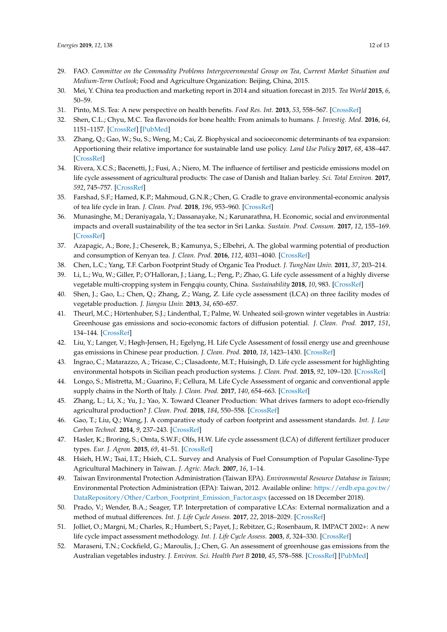- <span id="page-11-0"></span>29. FAO. *Committee on the Commodity Problems Intergovernmental Group on Tea, Current Market Situation and Medium-Term Outlook*; Food and Agriculture Organization: Beijing, China, 2015.
- <span id="page-11-1"></span>30. Mei, Y. China tea production and marketing report in 2014 and situation forecast in 2015. *Tea World* **2015**, *6*, 50–59.
- <span id="page-11-2"></span>31. Pinto, M.S. Tea: A new perspective on health benefits. *Food Res. Int.* **2013**, *53*, 558–567. [\[CrossRef\]](http://dx.doi.org/10.1016/j.foodres.2013.01.038)
- <span id="page-11-3"></span>32. Shen, C.L.; Chyu, M.C. Tea flavonoids for bone health: From animals to humans. *J. Investig. Med.* **2016**, *64*, 1151–1157. [\[CrossRef\]](http://dx.doi.org/10.1136/jim-2016-000190) [\[PubMed\]](http://www.ncbi.nlm.nih.gov/pubmed/27356546)
- <span id="page-11-4"></span>33. Zhang, Q.; Gao, W.; Su, S.; Weng, M.; Cai, Z. Biophysical and socioeconomic determinants of tea expansion: Apportioning their relative importance for sustainable land use policy. *Land Use Policy* **2017**, *68*, 438–447. [\[CrossRef\]](http://dx.doi.org/10.1016/j.landusepol.2017.08.008)
- <span id="page-11-5"></span>34. Rivera, X.C.S.; Bacenetti, J.; Fusi, A.; Niero, M. The influence of fertiliser and pesticide emissions model on life cycle assessment of agricultural products: The case of Danish and Italian barley. *Sci. Total Environ.* **2017**, *592*, 745–757. [\[CrossRef\]](http://dx.doi.org/10.1016/j.scitotenv.2016.11.183)
- <span id="page-11-6"></span>35. Farshad, S.F.; Hamed, K.P.; Mahmoud, G.N.R.; Chen, G. Cradle to grave environmental-economic analysis of tea life cycle in Iran. *J. Clean. Prod.* **2018**, *196*, 953–960. [\[CrossRef\]](http://dx.doi.org/10.1016/j.jclepro.2018.06.083)
- <span id="page-11-7"></span>36. Munasinghe, M.; Deraniyagala, Y.; Dassanayake, N.; Karunarathna, H. Economic, social and environmental impacts and overall sustainability of the tea sector in Sri Lanka. *Sustain. Prod. Consum.* **2017**, *12*, 155–169. [\[CrossRef\]](http://dx.doi.org/10.1016/j.spc.2017.07.003)
- <span id="page-11-8"></span>37. Azapagic, A.; Bore, J.; Cheserek, B.; Kamunya, S.; Elbehri, A. The global warming potential of production and consumption of Kenyan tea. *J. Clean. Prod.* **2016**, *112*, 4031–4040. [\[CrossRef\]](http://dx.doi.org/10.1016/j.jclepro.2015.07.029)
- <span id="page-11-9"></span>38. Chen, L.C.; Yang, T.F. Carbon Footprint Study of Organic Tea Product. *J. TungNan Univ.* **2011**, *37*, 203–214.
- <span id="page-11-10"></span>39. Li, L.; Wu, W.; Giller, P.; O'Halloran, J.; Liang, L.; Peng, P.; Zhao, G. Life cycle assessment of a highly diverse vegetable multi-cropping system in Fengqiu county, China. *Sustainability* **2018**, *10*, 983. [\[CrossRef\]](http://dx.doi.org/10.3390/su10040983)
- <span id="page-11-11"></span>40. Shen, J.; Gao, L.; Chen, Q.; Zhang, Z.; Wang, Z. Life cycle assessment (LCA) on three facility modes of vegetable production. *J. Jiangsu Univ.* **2013**, *34*, 650–657.
- <span id="page-11-12"></span>41. Theurl, M.C.; Hörtenhuber, S.J.; Lindenthal, T.; Palme, W. Unheated soil-grown winter vegetables in Austria: Greenhouse gas emissions and socio-economic factors of diffusion potential. *J. Clean. Prod.* **2017**, *151*, 134–144. [\[CrossRef\]](http://dx.doi.org/10.1016/j.jclepro.2017.03.016)
- <span id="page-11-13"></span>42. Liu, Y.; Langer, V.; Høgh-Jensen, H.; Egelyng, H. Life Cycle Assessment of fossil energy use and greenhouse gas emissions in Chinese pear production. *J. Clean. Prod.* **2010**, *18*, 1423–1430. [\[CrossRef\]](http://dx.doi.org/10.1016/j.jclepro.2010.05.025)
- <span id="page-11-14"></span>43. Ingrao, C.; Matarazzo, A.; Tricase, C.; Clasadonte, M.T.; Huisingh, D. Life cycle assessment for highlighting environmental hotspots in Sicilian peach production systems. *J. Clean. Prod.* **2015**, *92*, 109–120. [\[CrossRef\]](http://dx.doi.org/10.1016/j.jclepro.2014.12.053)
- <span id="page-11-15"></span>44. Longo, S.; Mistretta, M.; Guarino, F.; Cellura, M. Life Cycle Assessment of organic and conventional apple supply chains in the North of Italy. *J. Clean. Prod.* **2017**, *140*, 654–663. [\[CrossRef\]](http://dx.doi.org/10.1016/j.jclepro.2016.02.049)
- <span id="page-11-16"></span>45. Zhang, L.; Li, X.; Yu, J.; Yao, X. Toward Cleaner Production: What drives farmers to adopt eco-friendly agricultural production? *J. Clean. Prod.* **2018**, *184*, 550–558. [\[CrossRef\]](http://dx.doi.org/10.1016/j.jclepro.2018.02.272)
- <span id="page-11-17"></span>46. Gao, T.; Liu, Q.; Wang, J. A comparative study of carbon footprint and assessment standards. *Int. J. Low Carbon Technol.* **2014**, *9*, 237–243. [\[CrossRef\]](http://dx.doi.org/10.1093/ijlct/ctt041)
- <span id="page-11-18"></span>47. Hasler, K.; Broring, S.; Omta, S.W.F.; Olfs, H.W. Life cycle assessment (LCA) of different fertilizer producer types. *Eur. J. Agron.* **2015**, *69*, 41–51. [\[CrossRef\]](http://dx.doi.org/10.1016/j.eja.2015.06.001)
- <span id="page-11-19"></span>48. Hsieh, H.W.; Tsai, I.T.; Hsieh, C.L. Survey and Analysis of Fuel Consumption of Popular Gasoline-Type Agricultural Machinery in Taiwan. *J. Agric. Mach.* **2007**, *16*, 1–14.
- <span id="page-11-20"></span>49. Taiwan Environmental Protection Administration (Taiwan EPA). *Environmental Resource Database in Taiwan*; Environmental Protection Administration (EPA): Taiwan, 2012. Available online: [https://erdb.epa.gov.tw/](https://erdb.epa.gov.tw/DataRepository/Other/Carbon_Footprint_Emission_Factor.aspx) [DataRepository/Other/Carbon\\_Footprint\\_Emission\\_Factor.aspx](https://erdb.epa.gov.tw/DataRepository/Other/Carbon_Footprint_Emission_Factor.aspx) (accessed on 18 December 2018).
- <span id="page-11-21"></span>50. Prado, V.; Wender, B.A.; Seager, T.P. Interpretation of comparative LCAs: External normalization and a method of mutual differences. *Int. J. Life Cycle Assess.* **2017**, *22*, 2018–2029. [\[CrossRef\]](http://dx.doi.org/10.1007/s11367-017-1281-3)
- <span id="page-11-22"></span>51. Jolliet, O.; Margni, M.; Charles, R.; Humbert, S.; Payet, J.; Rebitzer, G.; Rosenbaum, R. IMPACT 2002+: A new life cycle impact assessment methodology. *Int. J. Life Cycle Assess.* **2003**, *8*, 324–330. [\[CrossRef\]](http://dx.doi.org/10.1007/BF02978505)
- <span id="page-11-23"></span>52. Maraseni, T.N.; Cockfield, G.; Maroulis, J.; Chen, G. An assessment of greenhouse gas emissions from the Australian vegetables industry. *J. Environ. Sci. Health Part B* **2010**, *45*, 578–588. [\[CrossRef\]](http://dx.doi.org/10.1080/03601234.2010.493497) [\[PubMed\]](http://www.ncbi.nlm.nih.gov/pubmed/20661792)